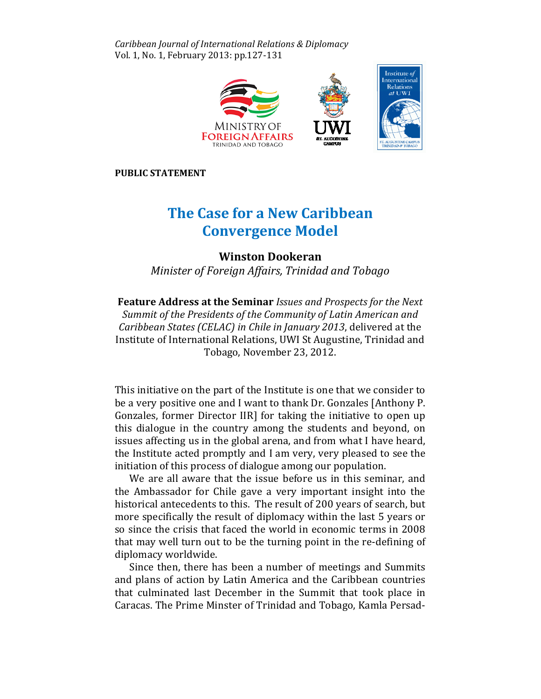Caribbean Journal of International Relations & Diplomacy Vol. 1, No. 1, February 2013: pp.127-131



PUBLIC STATEMENT

## The Case for a New Caribbean Convergence Model

Winston Dookeran

Minister of Foreign Affairs, Trinidad and Tobago

Feature Address at the Seminar Issues and Prospects for the Next Summit of the Presidents of the Community of Latin American and **Feature Address at the Seminar** Issues and Prospects for the Next<br>Summit of the Presidents of the Community of Latin American and<br>Caribbean States (CELAC) in Chile in January 2013, delivered at the Institute of International Relations, UWI St Augustine, Trinidad and Tobago, November 23, 2012. Institute of International Relations, UWI St Augustine, Trinidad and<br>Tobago, November 23, 2012.<br>This initiative on the part of the Institute is one that we consider to

be a very positive one and I want to thank Dr. Gonzales [Anthony P. Gonzales, former Director IIR] for taking the initiative to open up this dialogue in the country among the students and beyond, on issues affecting us in the global arena, and from what I have heard, the Institute acted promptly and I am very, very pleased to see the initiation of this process of dialogue among our population.

iation of this process of dialogue among our population.<br>We are all aware that the issue before us in this seminar, and the Ambassador for Chile gave a very important insight into the historical antecedents to this. The result of 200 years of search, but more specifically the result of diplomacy within the last 5 years or so since the crisis that faced the world in economic terms in 2008 2008 that may well turn out to be the turning point in the re-defining of diplomacy worldwide.

Since then, there has been a number of meetings and Summits and plans of action by Latin America and the Caribbean countries America countries that culminated last December in the Summit that took place in Caracas. The Prime Minster of Trinidad and Tobago, Kamla Persad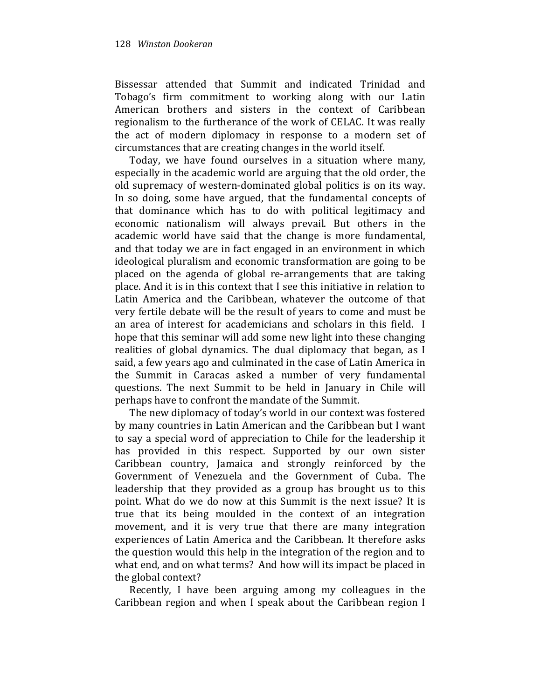Bissessar attended that Summit and indicated Trinidad and Tobago's firm commitment to working along with our Latin American brothers and sisters in the context of Caribbean regionalism to the furtherance of the work of CELAC. It was really the act of modern diplomacy in response to a modern set of circumstances that are creating changes in the world itself.

Today, we have found ourselves in a situation where many, especially in the academic world are arguing that the old order, the old supremacy of western-dominated global politics is on its way. In so doing, some have argued, that the fundamental concepts of that dominance which has to do with political legitimacy and economic nationalism will always prevail. But others in the academic world have said that the change is more fundamental, and that today we are in fact engaged in an environment in which ideological pluralism and economic transformation are going to be placed on the agenda of global re-arrangements that are taking place. And it is in this context that I see this initiative in relation to Latin America and the Caribbean, whatever the outcome of that very fertile debate will be the result of years to come and must be an area of interest for academicians and scholars in this field. I hope that this seminar will add some new light into these changing realities of global dynamics. The dual diplomacy that began, as I said, a few years ago and culminated in the case of Latin America in the Summit in Caracas asked a number of very fundamental questions. The next Summit to be held in January in Chile will perhaps have to confront the mandate of the Summit.

The new diplomacy of today's world in our context was fostered by many countries in Latin American and the Caribbean but I want to say a special word of appreciation to Chile for the leadership it has provided in this respect. Supported by our own sister Caribbean country, Jamaica and strongly reinforced by the Government of Venezuela and the Government of Cuba. The leadership that they provided as a group has brought us to this point. What do we do now at this Summit is the next issue? It is true that its being moulded in the context of an integration movement, and it is very true that there are many integration experiences of Latin America and the Caribbean. It therefore asks the question would this help in the integration of the region and to what end, and on what terms? And how will its impact be placed in the global context?

Recently, I have been arguing among my colleagues in the Caribbean region and when I speak about the Caribbean region I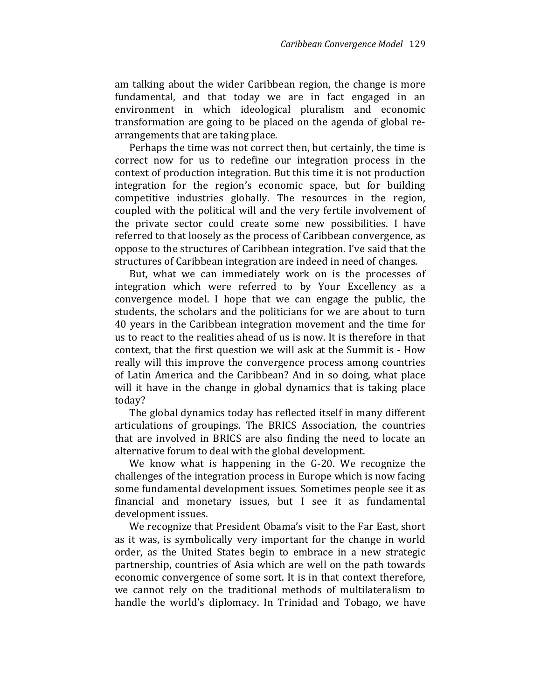am talking about the wider Caribbean region, the change is more fundamental, and that today we are in fact engaged in an environment in which ideological pluralism and economic transformation are going to be placed on the agenda of global rearrangements that are taking place.

Perhaps the time was not correct then, but certainly, the time is correct now for us to redefine our integration process in the context of production integration. But this time it is not production integration for the region's economic space, but for building competitive industries globally. The resources in the region, coupled with the political will and the very fertile involvement of the private sector could create some new possibilities. I have referred to that loosely as the process of Caribbean convergence, as oppose to the structures of Caribbean integration. I've said that the structures of Caribbean integration are indeed in need of changes.

But, what we can immediately work on is the processes of integration which were referred to by Your Excellency as a convergence model. I hope that we can engage the public, the students, the scholars and the politicians for we are about to turn 40 years in the Caribbean integration movement and the time for us to react to the realities ahead of us is now. It is therefore in that context, that the first question we will ask at the Summit is - How really will this improve the convergence process among countries of Latin America and the Caribbean? And in so doing, what place will it have in the change in global dynamics that is taking place today?

The global dynamics today has reflected itself in many different articulations of groupings. The BRICS Association, the countries that are involved in BRICS are also finding the need to locate an alternative forum to deal with the global development.

We know what is happening in the G-20. We recognize the challenges of the integration process in Europe which is now facing some fundamental development issues. Sometimes people see it as financial and monetary issues, but I see it as fundamental development issues.

We recognize that President Obama's visit to the Far East, short as it was, is symbolically very important for the change in world order, as the United States begin to embrace in a new strategic partnership, countries of Asia which are well on the path towards economic convergence of some sort. It is in that context therefore, we cannot rely on the traditional methods of multilateralism to handle the world's diplomacy. In Trinidad and Tobago, we have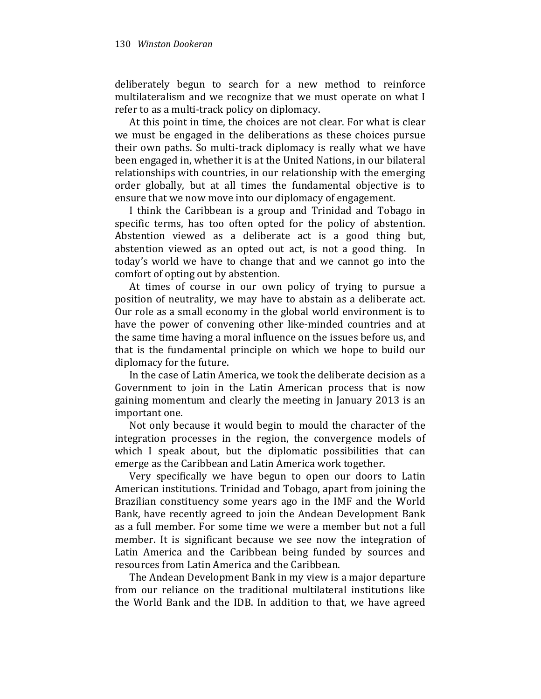deliberately begun to search for a new method to reinforce multilateralism and we recognize that we must operate on what I refer to as a multi-track policy on diplomacy.

At this point in time, the choices are not clear. For what is clear we must be engaged in the deliberations as these choices pursue their own paths. So multi-track diplomacy is really what we have been engaged in, whether it is at the United Nations, in our bilateral relationships with countries, in our relationship with the emerging order globally, but at all times the fundamental objective is to ensure that we now move into our diplomacy of engagement.

I think the Caribbean is a group and Trinidad and Tobago in specific terms, has too often opted for the policy of abstention. Abstention viewed as a deliberate act is a good thing but, abstention viewed as an opted out act, is not a good thing. In today's world we have to change that and we cannot go into the comfort of opting out by abstention.

At times of course in our own policy of trying to pursue a position of neutrality, we may have to abstain as a deliberate act. Our role as a small economy in the global world environment is to have the power of convening other like-minded countries and at the same time having a moral influence on the issues before us, and that is the fundamental principle on which we hope to build our diplomacy for the future.

In the case of Latin America, we took the deliberate decision as a Government to join in the Latin American process that is now gaining momentum and clearly the meeting in January 2013 is an important one.

Not only because it would begin to mould the character of the integration processes in the region, the convergence models of which I speak about, but the diplomatic possibilities that can emerge as the Caribbean and Latin America work together.

Very specifically we have begun to open our doors to Latin American institutions. Trinidad and Tobago, apart from joining the Brazilian constituency some years ago in the IMF and the World Bank, have recently agreed to join the Andean Development Bank as a full member. For some time we were a member but not a full member. It is significant because we see now the integration of Latin America and the Caribbean being funded by sources and resources from Latin America and the Caribbean.

The Andean Development Bank in my view is a major departure from our reliance on the traditional multilateral institutions like the World Bank and the IDB. In addition to that, we have agreed